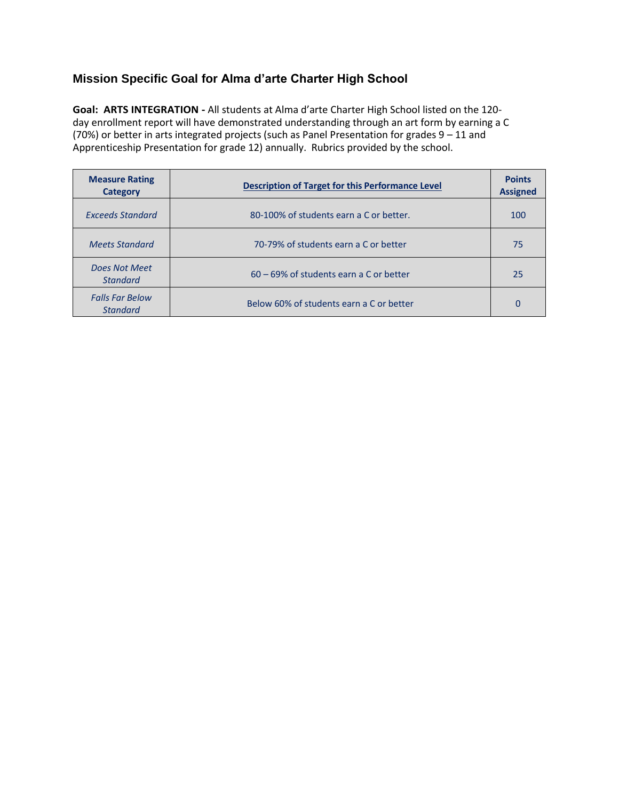### **Mission Specific Goal for Alma d'arte Charter High School**

**Goal: ARTS INTEGRATION -** All students at Alma d'arte Charter High School listed on the 120 day enrollment report will have demonstrated understanding through an art form by earning a C (70%) or better in arts integrated projects (such as Panel Presentation for grades 9 – 11 and Apprenticeship Presentation for grade 12) annually. Rubrics provided by the school.

| <b>Measure Rating</b><br>Category         | <b>Description of Target for this Performance Level</b> | <b>Points</b><br><b>Assigned</b> |
|-------------------------------------------|---------------------------------------------------------|----------------------------------|
| Exceeds Standard                          | 80-100% of students earn a C or better.                 | 100                              |
| <b>Meets Standard</b>                     | 70-79% of students earn a C or better                   | 75                               |
| Does Not Meet<br><b>Standard</b>          | 60 – 69% of students earn a C or better                 | 25                               |
| <b>Falls Far Below</b><br><b>Standard</b> | Below 60% of students earn a C or better                | 0                                |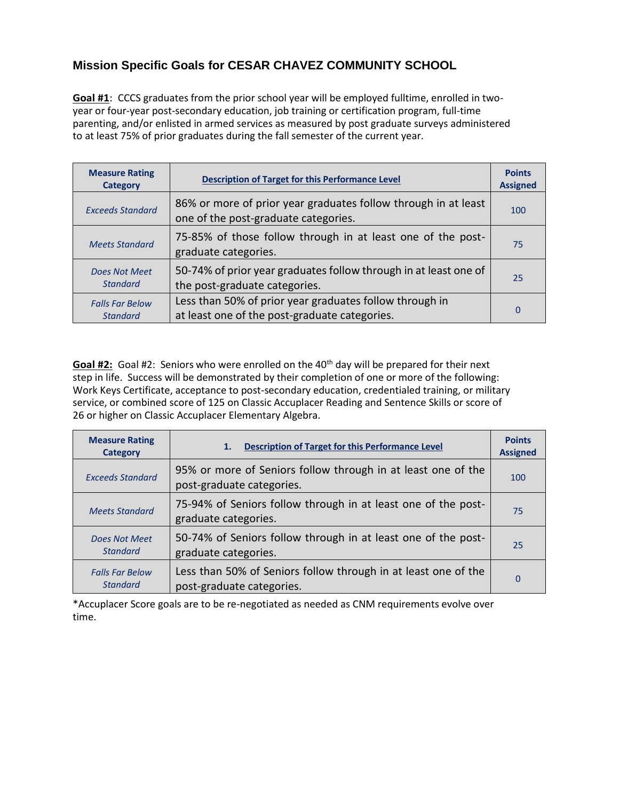# **Mission Specific Goals for CESAR CHAVEZ COMMUNITY SCHOOL**

**Goal #1**: CCCS graduates from the prior school year will be employed fulltime, enrolled in twoyear or four-year post-secondary education, job training or certification program, full-time parenting, and/or enlisted in armed services as measured by post graduate surveys administered to at least 75% of prior graduates during the fall semester of the current year.

| <b>Measure Rating</b><br>Category         | <b>Description of Target for this Performance Level</b>                                                  | <b>Points</b><br><b>Assigned</b> |
|-------------------------------------------|----------------------------------------------------------------------------------------------------------|----------------------------------|
| <b>Exceeds Standard</b>                   | 86% or more of prior year graduates follow through in at least<br>one of the post-graduate categories.   | 100                              |
| <b>Meets Standard</b>                     | 75-85% of those follow through in at least one of the post-<br>graduate categories.                      | 75                               |
| <b>Does Not Meet</b><br><b>Standard</b>   | 50-74% of prior year graduates follow through in at least one of<br>the post-graduate categories.        | 25                               |
| <b>Falls Far Below</b><br><b>Standard</b> | Less than 50% of prior year graduates follow through in<br>at least one of the post-graduate categories. | 0                                |

Goal #2: Goal #2: Seniors who were enrolled on the 40<sup>th</sup> day will be prepared for their next step in life. Success will be demonstrated by their completion of one or more of the following: Work Keys Certificate, acceptance to post-secondary education, credentialed training, or military service, or combined score of 125 on Classic Accuplacer Reading and Sentence Skills or score of 26 or higher on Classic Accuplacer Elementary Algebra.

| <b>Measure Rating</b><br><b>Category</b>  | <b>Description of Target for this Performance Level</b><br>1.                               | <b>Points</b><br><b>Assigned</b> |
|-------------------------------------------|---------------------------------------------------------------------------------------------|----------------------------------|
| <b>Exceeds Standard</b>                   | 95% or more of Seniors follow through in at least one of the<br>post-graduate categories.   | 100                              |
| <b>Meets Standard</b>                     | 75-94% of Seniors follow through in at least one of the post-<br>graduate categories.       | 75                               |
| <b>Does Not Meet</b><br><b>Standard</b>   | 50-74% of Seniors follow through in at least one of the post-<br>graduate categories.       | 25                               |
| <b>Falls Far Below</b><br><b>Standard</b> | Less than 50% of Seniors follow through in at least one of the<br>post-graduate categories. | 0                                |

\*Accuplacer Score goals are to be re-negotiated as needed as CNM requirements evolve over time.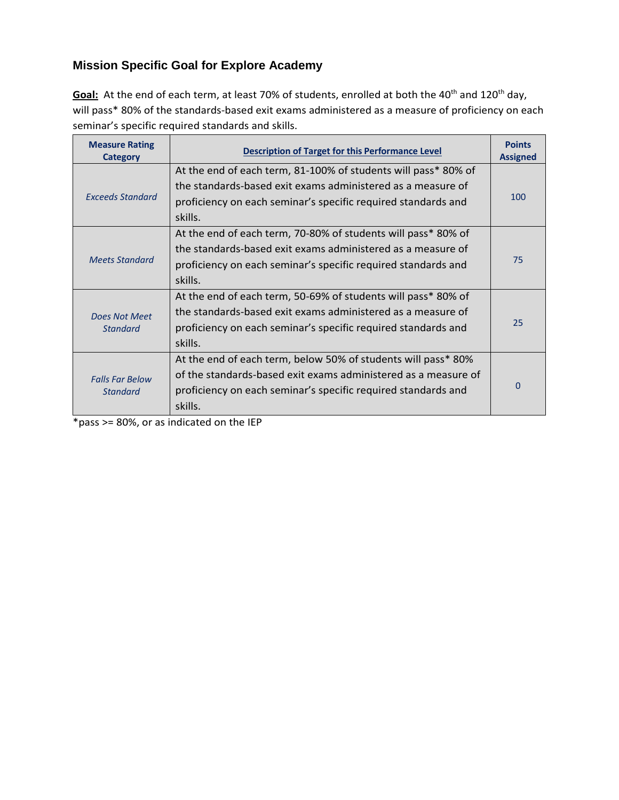# **Mission Specific Goal for Explore Academy**

Goal: At the end of each term, at least 70% of students, enrolled at both the 40<sup>th</sup> and 120<sup>th</sup> day, will pass\* 80% of the standards-based exit exams administered as a measure of proficiency on each seminar's specific required standards and skills.

| <b>Measure Rating</b><br><b>Category</b>  | <b>Description of Target for this Performance Level</b>        | <b>Points</b><br><b>Assigned</b> |
|-------------------------------------------|----------------------------------------------------------------|----------------------------------|
|                                           | At the end of each term, 81-100% of students will pass* 80% of |                                  |
|                                           | the standards-based exit exams administered as a measure of    |                                  |
| <b>Exceeds Standard</b>                   | proficiency on each seminar's specific required standards and  | 100                              |
|                                           | skills.                                                        |                                  |
|                                           | At the end of each term, 70-80% of students will pass* 80% of  |                                  |
|                                           | the standards-based exit exams administered as a measure of    |                                  |
| <b>Meets Standard</b>                     | proficiency on each seminar's specific required standards and  | 75                               |
|                                           | skills.                                                        |                                  |
|                                           | At the end of each term, 50-69% of students will pass* 80% of  |                                  |
| <b>Does Not Meet</b>                      | the standards-based exit exams administered as a measure of    |                                  |
| <b>Standard</b>                           | proficiency on each seminar's specific required standards and  | 25                               |
|                                           | skills.                                                        |                                  |
| <b>Falls Far Below</b><br><b>Standard</b> | At the end of each term, below 50% of students will pass* 80%  |                                  |
|                                           | of the standards-based exit exams administered as a measure of |                                  |
|                                           | proficiency on each seminar's specific required standards and  | 0                                |
|                                           | skills.                                                        |                                  |

\*pass >= 80%, or as indicated on the IEP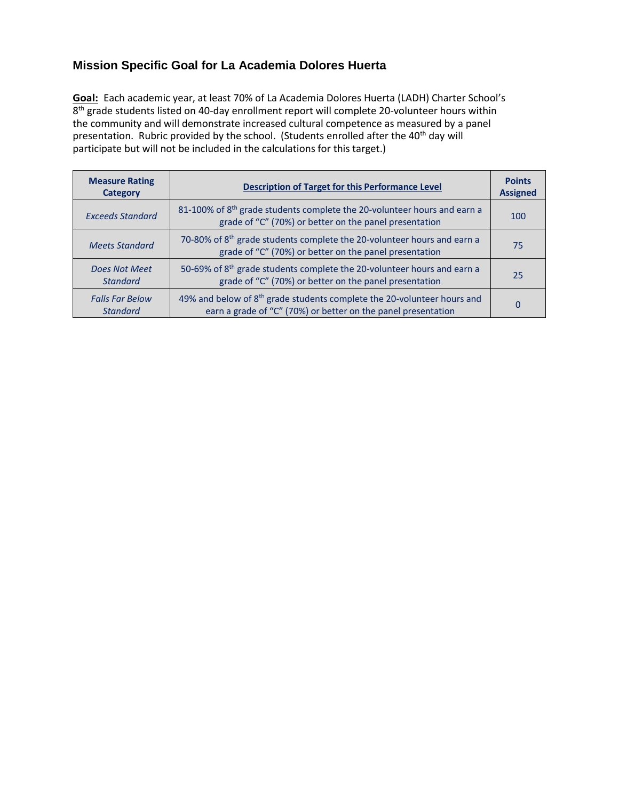## **Mission Specific Goal for La Academia Dolores Huerta**

**Goal:** Each academic year, at least 70% of La Academia Dolores Huerta (LADH) Charter School's 8<sup>th</sup> grade students listed on 40-day enrollment report will complete 20-volunteer hours within the community and will demonstrate increased cultural competence as measured by a panel presentation. Rubric provided by the school. (Students enrolled after the 40<sup>th</sup> day will participate but will not be included in the calculations for this target.)

| <b>Measure Rating</b><br><b>Category</b>  | <b>Description of Target for this Performance Level</b>                                                                                              | <b>Points</b><br><b>Assigned</b> |
|-------------------------------------------|------------------------------------------------------------------------------------------------------------------------------------------------------|----------------------------------|
| <b>Exceeds Standard</b>                   | 81-100% of 8 <sup>th</sup> grade students complete the 20-volunteer hours and earn a<br>grade of "C" (70%) or better on the panel presentation       | 100                              |
| <b>Meets Standard</b>                     | 70-80% of 8 <sup>th</sup> grade students complete the 20-volunteer hours and earn a<br>grade of "C" (70%) or better on the panel presentation        | 75                               |
| Does Not Meet<br><b>Standard</b>          | 50-69% of 8 <sup>th</sup> grade students complete the 20-volunteer hours and earn a<br>grade of "C" (70%) or better on the panel presentation        | 25                               |
| <b>Falls Far Below</b><br><b>Standard</b> | 49% and below of 8 <sup>th</sup> grade students complete the 20-volunteer hours and<br>earn a grade of "C" (70%) or better on the panel presentation | 0                                |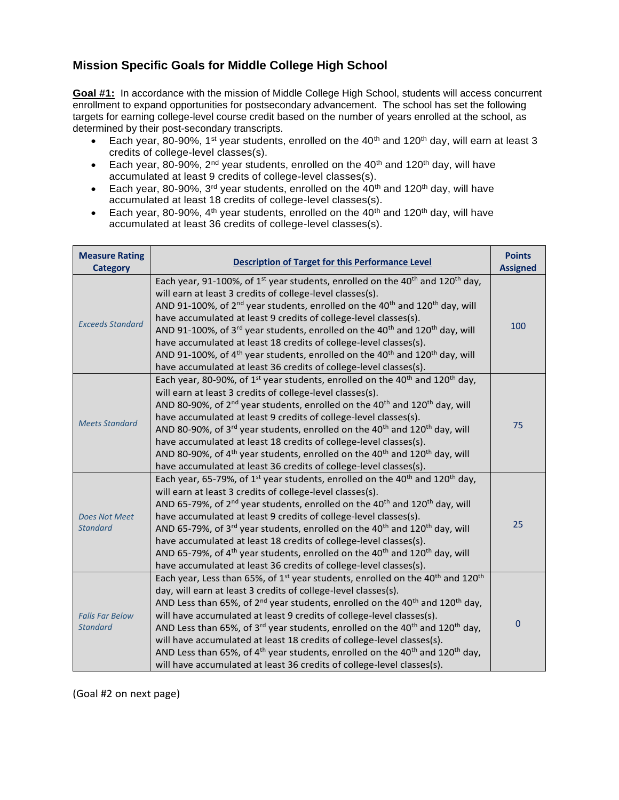#### **Mission Specific Goals for Middle College High School**

**Goal #1:** In accordance with the mission of Middle College High School, students will access concurrent enrollment to expand opportunities for postsecondary advancement. The school has set the following targets for earning college-level course credit based on the number of years enrolled at the school, as determined by their post-secondary transcripts.

- Each year, 80-90%, 1<sup>st</sup> year students, enrolled on the 40<sup>th</sup> and 120<sup>th</sup> day, will earn at least 3 credits of college-level classes(s).
- Each year, 80-90%, 2<sup>nd</sup> year students, enrolled on the 40<sup>th</sup> and 120<sup>th</sup> day, will have accumulated at least 9 credits of college-level classes(s).
- Each year, 80-90%, 3<sup>rd</sup> year students, enrolled on the 40<sup>th</sup> and 120<sup>th</sup> day, will have accumulated at least 18 credits of college-level classes(s).
- Each year, 80-90%,  $4<sup>th</sup>$  year students, enrolled on the  $40<sup>th</sup>$  and  $120<sup>th</sup>$  day, will have accumulated at least 36 credits of college-level classes(s).

| <b>Measure Rating</b><br><b>Category</b>  | <b>Description of Target for this Performance Level</b>                                                                                                                                                                                                                                                                                                                                                                                                                                                                                                                                                                                                                                                                                                                       | <b>Points</b><br><b>Assigned</b> |
|-------------------------------------------|-------------------------------------------------------------------------------------------------------------------------------------------------------------------------------------------------------------------------------------------------------------------------------------------------------------------------------------------------------------------------------------------------------------------------------------------------------------------------------------------------------------------------------------------------------------------------------------------------------------------------------------------------------------------------------------------------------------------------------------------------------------------------------|----------------------------------|
| <b>Exceeds Standard</b>                   | Each year, 91-100%, of 1 <sup>st</sup> year students, enrolled on the 40 <sup>th</sup> and 120 <sup>th</sup> day,<br>will earn at least 3 credits of college-level classes(s).<br>AND 91-100%, of 2 <sup>nd</sup> year students, enrolled on the 40 <sup>th</sup> and 120 <sup>th</sup> day, will<br>have accumulated at least 9 credits of college-level classes(s).<br>AND 91-100%, of 3 <sup>rd</sup> year students, enrolled on the 40 <sup>th</sup> and 120 <sup>th</sup> day, will<br>have accumulated at least 18 credits of college-level classes(s).<br>AND 91-100%, of 4 <sup>th</sup> year students, enrolled on the 40 <sup>th</sup> and 120 <sup>th</sup> day, will<br>have accumulated at least 36 credits of college-level classes(s).                         | 100                              |
| <b>Meets Standard</b>                     | Each year, 80-90%, of 1 <sup>st</sup> year students, enrolled on the 40 <sup>th</sup> and 120 <sup>th</sup> day,<br>will earn at least 3 credits of college-level classes(s).<br>AND 80-90%, of 2 <sup>nd</sup> year students, enrolled on the 40 <sup>th</sup> and 120 <sup>th</sup> day, will<br>have accumulated at least 9 credits of college-level classes(s).<br>AND 80-90%, of 3 <sup>rd</sup> year students, enrolled on the 40 <sup>th</sup> and 120 <sup>th</sup> day, will<br>have accumulated at least 18 credits of college-level classes(s).<br>AND 80-90%, of 4 <sup>th</sup> year students, enrolled on the 40 <sup>th</sup> and 120 <sup>th</sup> day, will<br>have accumulated at least 36 credits of college-level classes(s).                             | 75                               |
| <b>Does Not Meet</b><br><b>Standard</b>   | Each year, 65-79%, of 1 <sup>st</sup> year students, enrolled on the 40 <sup>th</sup> and 120 <sup>th</sup> day,<br>will earn at least 3 credits of college-level classes(s).<br>AND 65-79%, of $2^{nd}$ year students, enrolled on the 40 <sup>th</sup> and 120 <sup>th</sup> day, will<br>have accumulated at least 9 credits of college-level classes(s).<br>AND 65-79%, of 3 <sup>rd</sup> year students, enrolled on the 40 <sup>th</sup> and 120 <sup>th</sup> day, will<br>have accumulated at least 18 credits of college-level classes(s).<br>AND 65-79%, of 4 <sup>th</sup> year students, enrolled on the 40 <sup>th</sup> and 120 <sup>th</sup> day, will<br>have accumulated at least 36 credits of college-level classes(s).                                    | 25                               |
| <b>Falls Far Below</b><br><b>Standard</b> | Each year, Less than 65%, of 1 <sup>st</sup> year students, enrolled on the 40 <sup>th</sup> and 120 <sup>th</sup><br>day, will earn at least 3 credits of college-level classes(s).<br>AND Less than 65%, of 2 <sup>nd</sup> year students, enrolled on the 40 <sup>th</sup> and 120 <sup>th</sup> day,<br>will have accumulated at least 9 credits of college-level classes(s).<br>AND Less than 65%, of 3 <sup>rd</sup> year students, enrolled on the 40 <sup>th</sup> and 120 <sup>th</sup> day,<br>will have accumulated at least 18 credits of college-level classes(s).<br>AND Less than 65%, of 4 <sup>th</sup> year students, enrolled on the 40 <sup>th</sup> and 120 <sup>th</sup> day,<br>will have accumulated at least 36 credits of college-level classes(s). | $\mathbf 0$                      |

(Goal #2 on next page)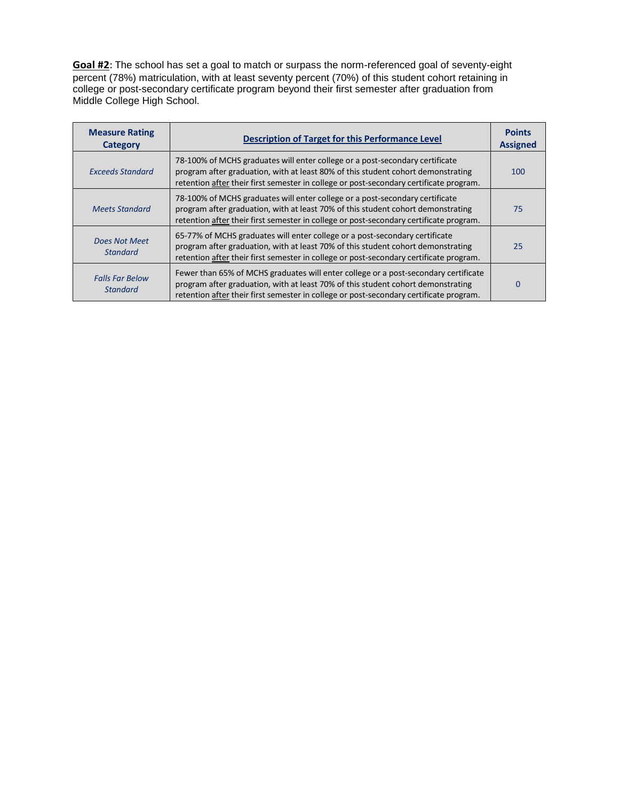**Goal #2**: The school has set a goal to match or surpass the norm-referenced goal of seventy-eight percent (78%) matriculation, with at least seventy percent (70%) of this student cohort retaining in college or post-secondary certificate program beyond their first semester after graduation from Middle College High School.

| <b>Measure Rating</b><br>Category         | <b>Description of Target for this Performance Level</b>                                                                                                                                                                                                           | <b>Points</b><br><b>Assigned</b> |
|-------------------------------------------|-------------------------------------------------------------------------------------------------------------------------------------------------------------------------------------------------------------------------------------------------------------------|----------------------------------|
| <b>Exceeds Standard</b>                   | 78-100% of MCHS graduates will enter college or a post-secondary certificate<br>program after graduation, with at least 80% of this student cohort demonstrating<br>retention after their first semester in college or post-secondary certificate program.        | 100                              |
| <b>Meets Standard</b>                     | 78-100% of MCHS graduates will enter college or a post-secondary certificate<br>program after graduation, with at least 70% of this student cohort demonstrating<br>retention after their first semester in college or post-secondary certificate program.        | 75                               |
| Does Not Meet<br><b>Standard</b>          | 65-77% of MCHS graduates will enter college or a post-secondary certificate<br>program after graduation, with at least 70% of this student cohort demonstrating<br>retention after their first semester in college or post-secondary certificate program.         | 25                               |
| <b>Falls Far Below</b><br><b>Standard</b> | Fewer than 65% of MCHS graduates will enter college or a post-secondary certificate<br>program after graduation, with at least 70% of this student cohort demonstrating<br>retention after their first semester in college or post-secondary certificate program. | $\Omega$                         |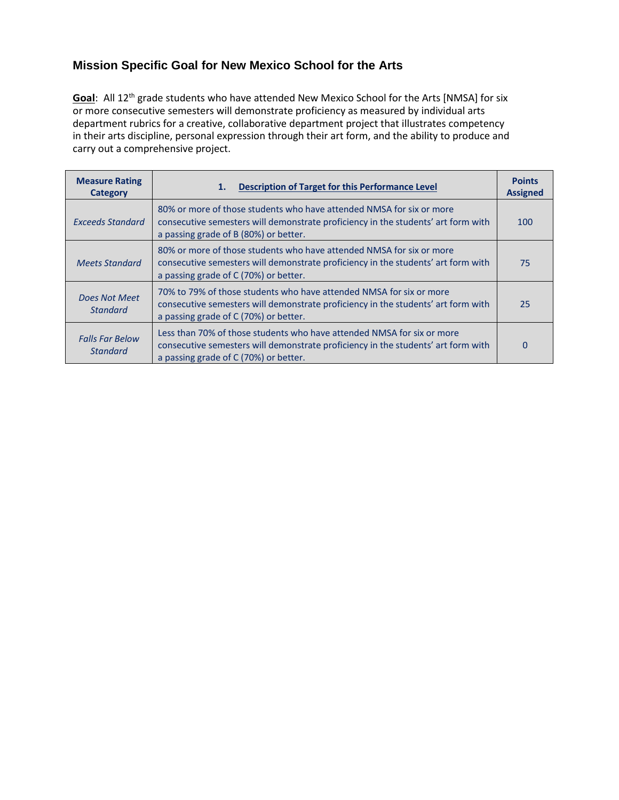## **Mission Specific Goal for New Mexico School for the Arts**

**Goal**: All 12<sup>th</sup> grade students who have attended New Mexico School for the Arts [NMSA] for six or more consecutive semesters will demonstrate proficiency as measured by individual arts department rubrics for a creative, collaborative department project that illustrates competency in their arts discipline, personal expression through their art form, and the ability to produce and carry out a comprehensive project.

| <b>Measure Rating</b><br><b>Category</b>  | <b>Description of Target for this Performance Level</b><br>1.                                                                                                                                        | <b>Points</b><br><b>Assigned</b> |
|-------------------------------------------|------------------------------------------------------------------------------------------------------------------------------------------------------------------------------------------------------|----------------------------------|
| Exceeds Standard                          | 80% or more of those students who have attended NMSA for six or more<br>consecutive semesters will demonstrate proficiency in the students' art form with<br>a passing grade of B (80%) or better.   | 100                              |
| <b>Meets Standard</b>                     | 80% or more of those students who have attended NMSA for six or more<br>consecutive semesters will demonstrate proficiency in the students' art form with<br>a passing grade of C (70%) or better.   | 75                               |
| Does Not Meet<br><b>Standard</b>          | 70% to 79% of those students who have attended NMSA for six or more<br>consecutive semesters will demonstrate proficiency in the students' art form with<br>a passing grade of C (70%) or better.    | 25                               |
| <b>Falls Far Below</b><br><b>Standard</b> | Less than 70% of those students who have attended NMSA for six or more<br>consecutive semesters will demonstrate proficiency in the students' art form with<br>a passing grade of C (70%) or better. | $\Omega$                         |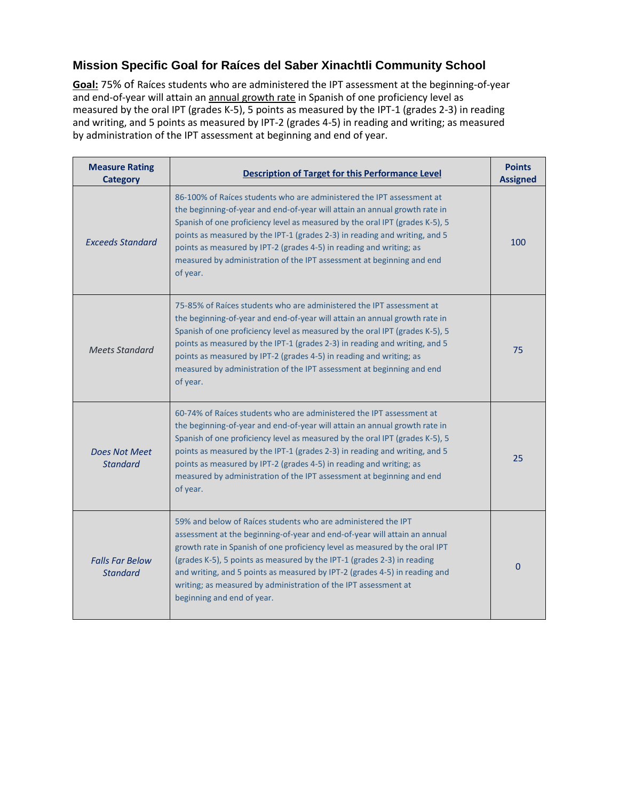## **Mission Specific Goal for Raíces del Saber Xinachtli Community School**

**Goal:** 75% of Raíces students who are administered the IPT assessment at the beginning-of-year and end-of-year will attain an annual growth rate in Spanish of one proficiency level as measured by the oral IPT (grades K-5), 5 points as measured by the IPT-1 (grades 2-3) in reading and writing, and 5 points as measured by IPT-2 (grades 4-5) in reading and writing; as measured by administration of the IPT assessment at beginning and end of year.

| <b>Measure Rating</b><br>Category         | <b>Description of Target for this Performance Level</b>                                                                                                                                                                                                                                                                                                                                                                                                                             | <b>Points</b><br><b>Assigned</b> |
|-------------------------------------------|-------------------------------------------------------------------------------------------------------------------------------------------------------------------------------------------------------------------------------------------------------------------------------------------------------------------------------------------------------------------------------------------------------------------------------------------------------------------------------------|----------------------------------|
| <b>Exceeds Standard</b>                   | 86-100% of Raices students who are administered the IPT assessment at<br>the beginning-of-year and end-of-year will attain an annual growth rate in<br>Spanish of one proficiency level as measured by the oral IPT (grades K-5), 5<br>points as measured by the IPT-1 (grades 2-3) in reading and writing, and 5<br>points as measured by IPT-2 (grades 4-5) in reading and writing; as<br>measured by administration of the IPT assessment at beginning and end<br>of year.       | 100                              |
| <b>Meets Standard</b>                     | 75-85% of Raíces students who are administered the IPT assessment at<br>the beginning-of-year and end-of-year will attain an annual growth rate in<br>Spanish of one proficiency level as measured by the oral IPT (grades K-5), 5<br>points as measured by the IPT-1 (grades 2-3) in reading and writing, and 5<br>points as measured by IPT-2 (grades 4-5) in reading and writing; as<br>measured by administration of the IPT assessment at beginning and end<br>of year.        | 75                               |
| <b>Does Not Meet</b><br><b>Standard</b>   | 60-74% of Raíces students who are administered the IPT assessment at<br>the beginning-of-year and end-of-year will attain an annual growth rate in<br>Spanish of one proficiency level as measured by the oral IPT (grades K-5), 5<br>points as measured by the IPT-1 (grades 2-3) in reading and writing, and 5<br>points as measured by IPT-2 (grades 4-5) in reading and writing; as<br>measured by administration of the IPT assessment at beginning and end<br>of year.        | 25                               |
| <b>Falls Far Below</b><br><b>Standard</b> | 59% and below of Raíces students who are administered the IPT<br>assessment at the beginning-of-year and end-of-year will attain an annual<br>growth rate in Spanish of one proficiency level as measured by the oral IPT<br>(grades K-5), 5 points as measured by the IPT-1 (grades 2-3) in reading<br>and writing, and 5 points as measured by IPT-2 (grades 4-5) in reading and<br>writing; as measured by administration of the IPT assessment at<br>beginning and end of year. | $\mathbf{0}$                     |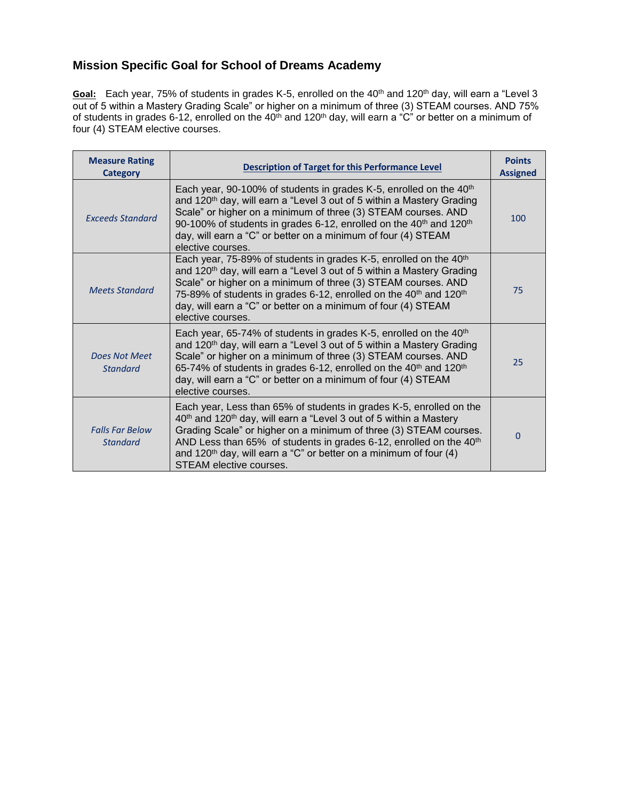## **Mission Specific Goal for School of Dreams Academy**

Goal: Each year, 75% of students in grades K-5, enrolled on the 40<sup>th</sup> and 120<sup>th</sup> day, will earn a "Level 3 out of 5 within a Mastery Grading Scale" or higher on a minimum of three (3) STEAM courses. AND 75% of students in grades 6-12, enrolled on the 40th and 120th day, will earn a "C" or better on a minimum of four (4) STEAM elective courses.

| <b>Measure Rating</b><br><b>Category</b>  | <b>Description of Target for this Performance Level</b>                                                                                                                                                                                                                                                                                                                                                                                | <b>Points</b><br><b>Assigned</b> |
|-------------------------------------------|----------------------------------------------------------------------------------------------------------------------------------------------------------------------------------------------------------------------------------------------------------------------------------------------------------------------------------------------------------------------------------------------------------------------------------------|----------------------------------|
| <b>Exceeds Standard</b>                   | Each year, 90-100% of students in grades K-5, enrolled on the $40th$<br>and 120 <sup>th</sup> day, will earn a "Level 3 out of 5 within a Mastery Grading<br>Scale" or higher on a minimum of three (3) STEAM courses. AND<br>90-100% of students in grades 6-12, enrolled on the 40 <sup>th</sup> and 120 <sup>th</sup><br>day, will earn a "C" or better on a minimum of four (4) STEAM<br>elective courses.                         | 100                              |
| <b>Meets Standard</b>                     | Each year, 75-89% of students in grades K-5, enrolled on the 40 <sup>th</sup><br>and 120 <sup>th</sup> day, will earn a "Level 3 out of 5 within a Mastery Grading<br>Scale" or higher on a minimum of three (3) STEAM courses. AND<br>75-89% of students in grades 6-12, enrolled on the 40 <sup>th</sup> and 120 <sup>th</sup><br>day, will earn a "C" or better on a minimum of four (4) STEAM<br>elective courses.                 | 75                               |
| Does Not Meet<br><b>Standard</b>          | Each year, 65-74% of students in grades K-5, enrolled on the 40 <sup>th</sup><br>and 120 <sup>th</sup> day, will earn a "Level 3 out of 5 within a Mastery Grading<br>Scale" or higher on a minimum of three (3) STEAM courses. AND<br>65-74% of students in grades 6-12, enrolled on the 40 <sup>th</sup> and 120 <sup>th</sup><br>day, will earn a "C" or better on a minimum of four (4) STEAM<br>elective courses.                 | 25                               |
| <b>Falls Far Below</b><br><b>Standard</b> | Each year, Less than 65% of students in grades K-5, enrolled on the<br>40 <sup>th</sup> and 120 <sup>th</sup> day, will earn a "Level 3 out of 5 within a Mastery<br>Grading Scale" or higher on a minimum of three (3) STEAM courses.<br>AND Less than 65% of students in grades 6-12, enrolled on the 40 <sup>th</sup><br>and 120 <sup>th</sup> day, will earn a "C" or better on a minimum of four $(4)$<br>STEAM elective courses. | 0                                |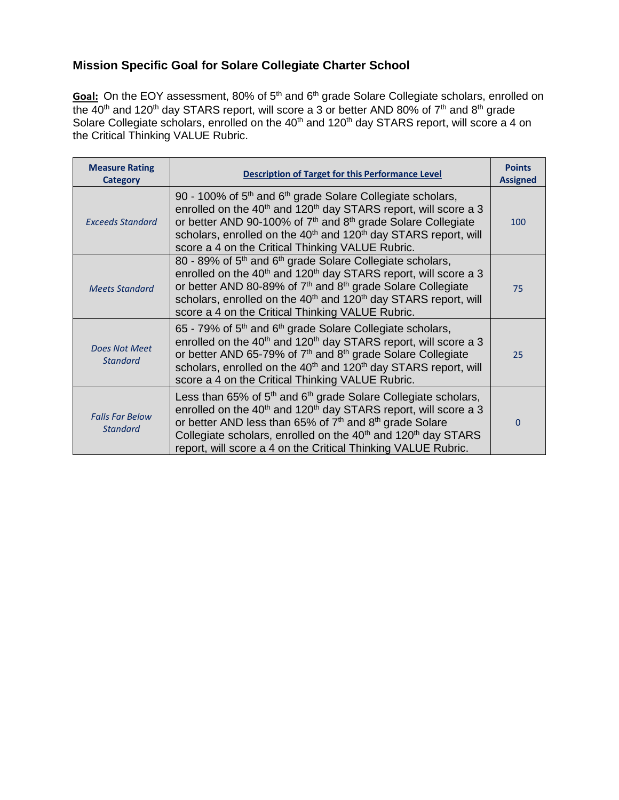# **Mission Specific Goal for Solare Collegiate Charter School**

Goal: On the EOY assessment, 80% of 5<sup>th</sup> and 6<sup>th</sup> grade Solare Collegiate scholars, enrolled on the 40<sup>th</sup> and 120<sup>th</sup> day STARS report, will score a 3 or better AND 80% of 7<sup>th</sup> and 8<sup>th</sup> grade Solare Collegiate scholars, enrolled on the 40<sup>th</sup> and 120<sup>th</sup> day STARS report, will score a 4 on the Critical Thinking VALUE Rubric.

| <b>Measure Rating</b><br><b>Category</b>  | <b>Description of Target for this Performance Level</b>                                                                                                                                                                                                                                                                                                                                                            | <b>Points</b><br><b>Assigned</b> |
|-------------------------------------------|--------------------------------------------------------------------------------------------------------------------------------------------------------------------------------------------------------------------------------------------------------------------------------------------------------------------------------------------------------------------------------------------------------------------|----------------------------------|
| <b>Exceeds Standard</b>                   | 90 - 100% of $5th$ and $6th$ grade Solare Collegiate scholars,<br>enrolled on the 40 <sup>th</sup> and 120 <sup>th</sup> day STARS report, will score a 3<br>or better AND 90-100% of $7th$ and $8th$ grade Solare Collegiate<br>scholars, enrolled on the 40 <sup>th</sup> and 120 <sup>th</sup> day STARS report, will<br>score a 4 on the Critical Thinking VALUE Rubric.                                       | 100                              |
| <b>Meets Standard</b>                     | 80 - 89% of 5 <sup>th</sup> and 6 <sup>th</sup> grade Solare Collegiate scholars,<br>enrolled on the 40 <sup>th</sup> and 120 <sup>th</sup> day STARS report, will score a 3<br>or better AND 80-89% of 7 <sup>th</sup> and 8 <sup>th</sup> grade Solare Collegiate<br>scholars, enrolled on the 40 <sup>th</sup> and 120 <sup>th</sup> day STARS report, will<br>score a 4 on the Critical Thinking VALUE Rubric. | 75                               |
| Does Not Meet<br><b>Standard</b>          | $65$ - 79% of $5th$ and $6th$ grade Solare Collegiate scholars,<br>enrolled on the 40 <sup>th</sup> and 120 <sup>th</sup> day STARS report, will score a 3<br>or better AND 65-79% of $7th$ and $8th$ grade Solare Collegiate<br>scholars, enrolled on the 40 <sup>th</sup> and 120 <sup>th</sup> day STARS report, will<br>score a 4 on the Critical Thinking VALUE Rubric.                                       | 25                               |
| <b>Falls Far Below</b><br><b>Standard</b> | Less than 65% of $5th$ and $6th$ grade Solare Collegiate scholars,<br>enrolled on the 40 <sup>th</sup> and 120 <sup>th</sup> day STARS report, will score a 3<br>or better AND less than 65% of $7th$ and $8th$ grade Solare<br>Collegiate scholars, enrolled on the 40 <sup>th</sup> and 120 <sup>th</sup> day STARS<br>report, will score a 4 on the Critical Thinking VALUE Rubric.                             | $\Omega$                         |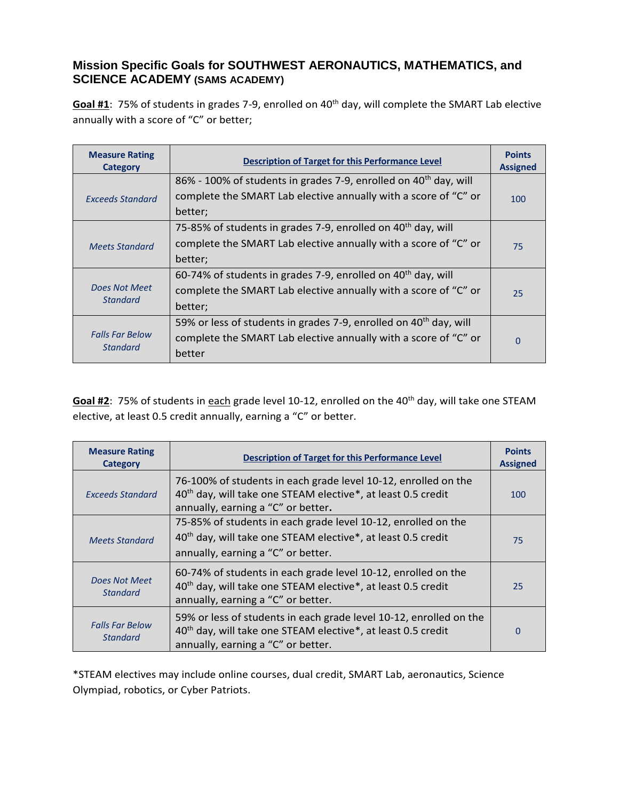#### **Mission Specific Goals for SOUTHWEST AERONAUTICS, MATHEMATICS, and SCIENCE ACADEMY (SAMS ACADEMY)**

Goal #1: 75% of students in grades 7-9, enrolled on 40<sup>th</sup> day, will complete the SMART Lab elective annually with a score of "C" or better;

| <b>Measure Rating</b><br>Category         | <b>Description of Target for this Performance Level</b>                       | <b>Points</b><br><b>Assigned</b> |
|-------------------------------------------|-------------------------------------------------------------------------------|----------------------------------|
|                                           | 86% - 100% of students in grades 7-9, enrolled on 40 <sup>th</sup> day, will  |                                  |
| <b>Exceeds Standard</b>                   | complete the SMART Lab elective annually with a score of "C" or               | 100                              |
|                                           | better;                                                                       |                                  |
|                                           | 75-85% of students in grades 7-9, enrolled on 40 <sup>th</sup> day, will      |                                  |
| <b>Meets Standard</b>                     | complete the SMART Lab elective annually with a score of "C" or               | 75                               |
|                                           | better;                                                                       |                                  |
|                                           | 60-74% of students in grades 7-9, enrolled on $40^{th}$ day, will             |                                  |
| Does Not Meet<br><b>Standard</b>          | complete the SMART Lab elective annually with a score of "C" or               | 25                               |
|                                           | better;                                                                       |                                  |
| <b>Falls Far Below</b><br><b>Standard</b> | 59% or less of students in grades 7-9, enrolled on 40 <sup>th</sup> day, will |                                  |
|                                           | complete the SMART Lab elective annually with a score of "C" or               | $\overline{0}$                   |
|                                           | better                                                                        |                                  |

Goal #2: 75% of students in each grade level 10-12, enrolled on the 40<sup>th</sup> day, will take one STEAM elective, at least 0.5 credit annually, earning a "C" or better.

| <b>Measure Rating</b><br><b>Category</b>  | <b>Description of Target for this Performance Level</b>                                                                                                                              | <b>Points</b><br><b>Assigned</b> |
|-------------------------------------------|--------------------------------------------------------------------------------------------------------------------------------------------------------------------------------------|----------------------------------|
| <b>Exceeds Standard</b>                   | 76-100% of students in each grade level 10-12, enrolled on the<br>40 <sup>th</sup> day, will take one STEAM elective*, at least 0.5 credit<br>annually, earning a "C" or better.     | 100                              |
| <b>Meets Standard</b>                     | 75-85% of students in each grade level 10-12, enrolled on the<br>40 <sup>th</sup> day, will take one STEAM elective*, at least 0.5 credit<br>annually, earning a "C" or better.      | 75                               |
| Does Not Meet<br><b>Standard</b>          | 60-74% of students in each grade level 10-12, enrolled on the<br>40 <sup>th</sup> day, will take one STEAM elective*, at least 0.5 credit<br>annually, earning a "C" or better.      | 25                               |
| <b>Falls Far Below</b><br><b>Standard</b> | 59% or less of students in each grade level 10-12, enrolled on the<br>40 <sup>th</sup> day, will take one STEAM elective*, at least 0.5 credit<br>annually, earning a "C" or better. | 0                                |

\*STEAM electives may include online courses, dual credit, SMART Lab, aeronautics, Science Olympiad, robotics, or Cyber Patriots.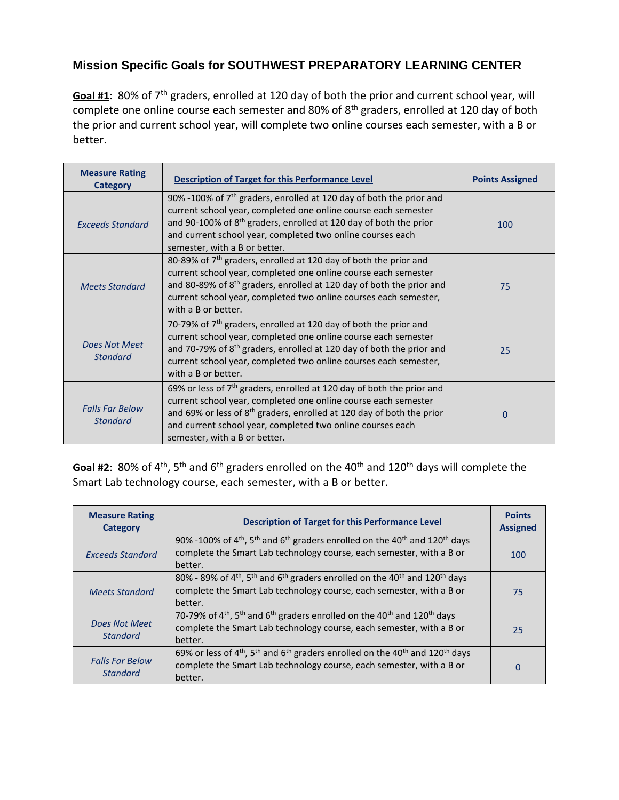# **Mission Specific Goals for SOUTHWEST PREPARATORY LEARNING CENTER**

**Goal #1**: 80% of 7th graders, enrolled at 120 day of both the prior and current school year, will complete one online course each semester and 80% of 8<sup>th</sup> graders, enrolled at 120 day of both the prior and current school year, will complete two online courses each semester, with a B or better.

| <b>Measure Rating</b><br><b>Category</b>  | <b>Description of Target for this Performance Level</b>                                                                                                                                                                                                                                                                       | <b>Points Assigned</b> |
|-------------------------------------------|-------------------------------------------------------------------------------------------------------------------------------------------------------------------------------------------------------------------------------------------------------------------------------------------------------------------------------|------------------------|
| <b>Exceeds Standard</b>                   | 90% -100% of $7th$ graders, enrolled at 120 day of both the prior and<br>current school year, completed one online course each semester<br>and 90-100% of $8th$ graders, enrolled at 120 day of both the prior<br>and current school year, completed two online courses each<br>semester, with a B or better.                 | 100                    |
| <b>Meets Standard</b>                     | 80-89% of 7 <sup>th</sup> graders, enrolled at 120 day of both the prior and<br>current school year, completed one online course each semester<br>and 80-89% of 8 <sup>th</sup> graders, enrolled at 120 day of both the prior and<br>current school year, completed two online courses each semester,<br>with a B or better. | 75                     |
| Does Not Meet<br>Standard                 | 70-79% of 7 <sup>th</sup> graders, enrolled at 120 day of both the prior and<br>current school year, completed one online course each semester<br>and 70-79% of 8 <sup>th</sup> graders, enrolled at 120 day of both the prior and<br>current school year, completed two online courses each semester,<br>with a B or better. | 25                     |
| <b>Falls Far Below</b><br><b>Standard</b> | 69% or less of $7th$ graders, enrolled at 120 day of both the prior and<br>current school year, completed one online course each semester<br>and 69% or less of 8 <sup>th</sup> graders, enrolled at 120 day of both the prior<br>and current school year, completed two online courses each<br>semester, with a B or better. | O                      |

Goal #2: 80% of 4<sup>th</sup>, 5<sup>th</sup> and 6<sup>th</sup> graders enrolled on the 40<sup>th</sup> and 120<sup>th</sup> days will complete the Smart Lab technology course, each semester, with a B or better.

| <b>Measure Rating</b><br>Category         | <b>Description of Target for this Performance Level</b>                                                                                                                                                                     | <b>Points</b><br><b>Assigned</b> |
|-------------------------------------------|-----------------------------------------------------------------------------------------------------------------------------------------------------------------------------------------------------------------------------|----------------------------------|
| <b>Exceeds Standard</b>                   | 90% -100% of 4 <sup>th</sup> , 5 <sup>th</sup> and 6 <sup>th</sup> graders enrolled on the 40 <sup>th</sup> and 120 <sup>th</sup> days<br>complete the Smart Lab technology course, each semester, with a B or<br>better.   | 100                              |
| <b>Meets Standard</b>                     | 80% - 89% of 4 <sup>th</sup> , 5 <sup>th</sup> and 6 <sup>th</sup> graders enrolled on the 40 <sup>th</sup> and 120 <sup>th</sup> days<br>complete the Smart Lab technology course, each semester, with a B or<br>better.   | 75                               |
| Does Not Meet<br><b>Standard</b>          | 70-79% of 4 <sup>th</sup> , 5 <sup>th</sup> and 6 <sup>th</sup> graders enrolled on the 40 <sup>th</sup> and 120 <sup>th</sup> days<br>complete the Smart Lab technology course, each semester, with a B or<br>better.      | 25                               |
| <b>Falls Far Below</b><br><b>Standard</b> | 69% or less of 4 <sup>th</sup> , 5 <sup>th</sup> and 6 <sup>th</sup> graders enrolled on the 40 <sup>th</sup> and 120 <sup>th</sup> days<br>complete the Smart Lab technology course, each semester, with a B or<br>better. | 0                                |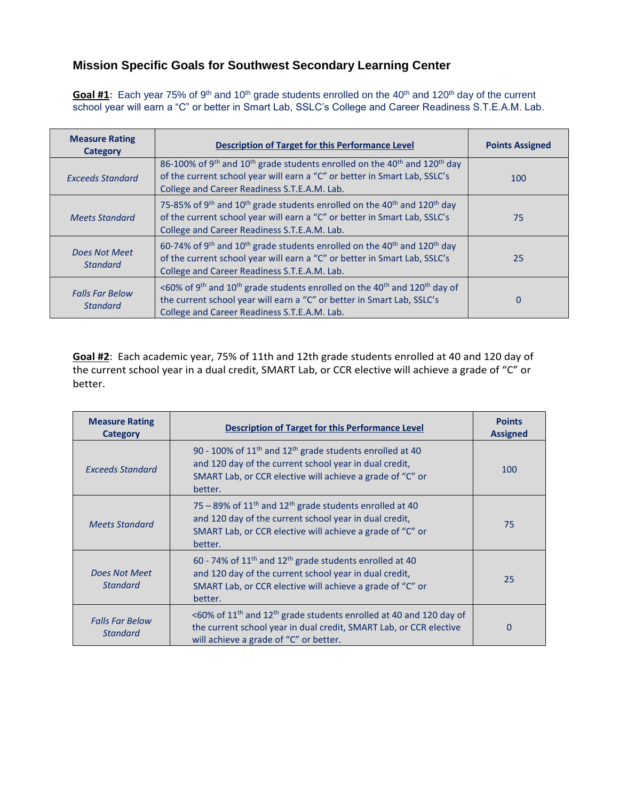#### **Mission Specific Goals for Southwest Secondary Learning Center**

Goal #1: Each year 75% of 9<sup>th</sup> and 10<sup>th</sup> grade students enrolled on the 40<sup>th</sup> and 120<sup>th</sup> day of the current school year will earn a "C" or better in Smart Lab, SSLC's College and Career Readiness S.T.E.A.M. Lab.

| <b>Measure Rating</b><br><b>Category</b>  | <b>Description of Target for this Performance Level</b>                                                                                                                                                                                                | <b>Points Assigned</b> |
|-------------------------------------------|--------------------------------------------------------------------------------------------------------------------------------------------------------------------------------------------------------------------------------------------------------|------------------------|
| <b>Exceeds Standard</b>                   | 86-100% of 9 <sup>th</sup> and 10 <sup>th</sup> grade students enrolled on the 40 <sup>th</sup> and 120 <sup>th</sup> day<br>of the current school year will earn a "C" or better in Smart Lab, SSLC's<br>College and Career Readiness S.T.E.A.M. Lab. | 100                    |
| <b>Meets Standard</b>                     | 75-85% of 9 <sup>th</sup> and 10 <sup>th</sup> grade students enrolled on the 40 <sup>th</sup> and 120 <sup>th</sup> day<br>of the current school year will earn a "C" or better in Smart Lab, SSLC's<br>College and Career Readiness S.T.E.A.M. Lab.  | 75                     |
| Does Not Meet<br><b>Standard</b>          | 60-74% of 9 <sup>th</sup> and 10 <sup>th</sup> grade students enrolled on the 40 <sup>th</sup> and 120 <sup>th</sup> day<br>of the current school year will earn a "C" or better in Smart Lab, SSLC's<br>College and Career Readiness S.T.E.A.M. Lab.  | 25                     |
| <b>Falls Far Below</b><br><b>Standard</b> | <60% of 9 <sup>th</sup> and 10 <sup>th</sup> grade students enrolled on the 40 <sup>th</sup> and 120 <sup>th</sup> day of<br>the current school year will earn a "C" or better in Smart Lab, SSLC's<br>College and Career Readiness S.T.E.A.M. Lab.    | $\Omega$               |

**Goal #2**: Each academic year, 75% of 11th and 12th grade students enrolled at 40 and 120 day of the current school year in a dual credit, SMART Lab, or CCR elective will achieve a grade of "C" or better.

| <b>Measure Rating</b><br><b>Category</b>  | Description of Target for this Performance Level                                                                                                                                                           | <b>Points</b><br><b>Assigned</b> |
|-------------------------------------------|------------------------------------------------------------------------------------------------------------------------------------------------------------------------------------------------------------|----------------------------------|
| <b>Exceeds Standard</b>                   | 90 - 100% of $11th$ and $12th$ grade students enrolled at 40<br>and 120 day of the current school year in dual credit,<br>SMART Lab, or CCR elective will achieve a grade of "C" or<br>better.             | 100                              |
| <b>Meets Standard</b>                     | 75 – 89% of $11th$ and $12th$ grade students enrolled at 40<br>and 120 day of the current school year in dual credit,<br>SMART Lab, or CCR elective will achieve a grade of "C" or<br>better.              | 75                               |
| Does Not Meet<br><b>Standard</b>          | 60 - 74% of $11th$ and $12th$ grade students enrolled at 40<br>and 120 day of the current school year in dual credit,<br>SMART Lab, or CCR elective will achieve a grade of "C" or<br>better.              | 25                               |
| <b>Falls Far Below</b><br><b>Standard</b> | <60% of 11 <sup>th</sup> and 12 <sup>th</sup> grade students enrolled at 40 and 120 day of<br>the current school year in dual credit, SMART Lab, or CCR elective<br>will achieve a grade of "C" or better. | 0                                |